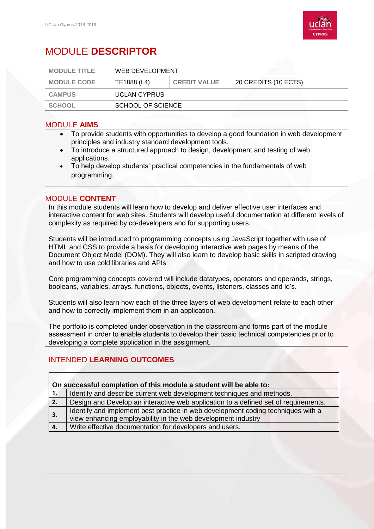

# MODULE **DESCRIPTOR**

| <b>MODULE TITLE</b> | <b>WEB DEVELOPMENT</b> |                     |                      |
|---------------------|------------------------|---------------------|----------------------|
| <b>MODULE CODE</b>  | TE1888 (L4)            | <b>CREDIT VALUE</b> | 20 CREDITS (10 ECTS) |
| <b>CAMPUS</b>       | <b>UCLAN CYPRUS</b>    |                     |                      |
| <b>SCHOOL</b>       | SCHOOL OF SCIENCE      |                     |                      |
|                     |                        |                     |                      |

### MODULE **AIMS**

- To provide students with opportunities to develop a good foundation in web development principles and industry standard development tools.
- To introduce a structured approach to design, development and testing of web applications.
- To help develop students' practical competencies in the fundamentals of web programming.

#### MODULE **CONTENT**

In this module students will learn how to develop and deliver effective user interfaces and interactive content for web sites. Students will develop useful documentation at different levels of complexity as required by co-developers and for supporting users.

Students will be introduced to programming concepts using JavaScript together with use of HTML and CSS to provide a basis for developing interactive web pages by means of the Document Object Model (DOM). They will also learn to develop basic skills in scripted drawing and how to use cold libraries and APIs

Core programming concepts covered will include datatypes, operators and operands, strings, booleans, variables, arrays, functions, objects, events, listeners, classes and id's.

Students will also learn how each of the three layers of web development relate to each other and how to correctly implement them in an application.

The portfolio is completed under observation in the classroom and forms part of the module assessment in order to enable students to develop their basic technical competencies prior to developing a complete application in the assignment.

# INTENDED **LEARNING OUTCOMES**

| On successful completion of this module a student will be able to: |                                                                                     |  |  |  |
|--------------------------------------------------------------------|-------------------------------------------------------------------------------------|--|--|--|
| 1.                                                                 | Identify and describe current web development techniques and methods.               |  |  |  |
| 2.                                                                 | Design and Develop an interactive web application to a defined set of requirements. |  |  |  |
| 3.                                                                 | Identify and implement best practice in web development coding techniques with a    |  |  |  |
|                                                                    | view enhancing employability in the web development industry                        |  |  |  |
| 4.                                                                 | Write effective documentation for developers and users.                             |  |  |  |